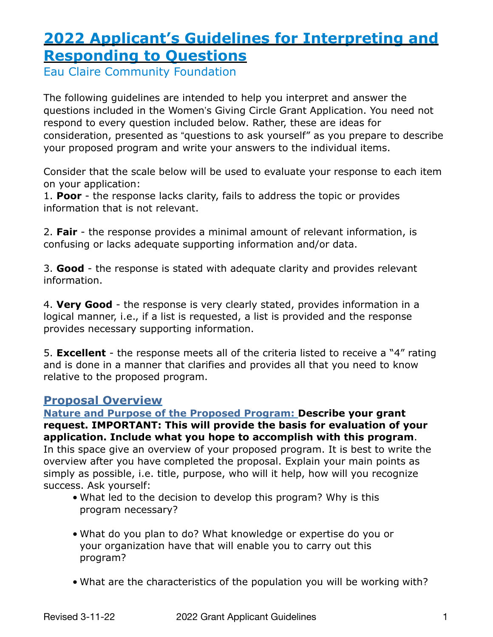# **2022 Applicant's Guidelines for Interpreting and Responding to Questions**

Eau Claire Community Foundation

The following guidelines are intended to help you interpret and answer the questions included in the Women's Giving Circle Grant Application. You need not respond to every question included below. Rather, these are ideas for consideration, presented as "questions to ask yourself" as you prepare to describe your proposed program and write your answers to the individual items.

Consider that the scale below will be used to evaluate your response to each item on your application:

1. **Poor** - the response lacks clarity, fails to address the topic or provides information that is not relevant.

2. **Fair** - the response provides a minimal amount of relevant information, is confusing or lacks adequate supporting information and/or data.

3. **Good** - the response is stated with adequate clarity and provides relevant information.

4. **Very Good** - the response is very clearly stated, provides information in a logical manner, i.e., if a list is requested, a list is provided and the response provides necessary supporting information.

5. **Excellent** - the response meets all of the criteria listed to receive a "4" rating and is done in a manner that clarifies and provides all that you need to know relative to the proposed program.

# **Proposal Overview**

**Nature and Purpose of the Proposed Program: Describe your grant request. IMPORTANT: This will provide the basis for evaluation of your application. Include what you hope to accomplish with this program**. In this space give an overview of your proposed program. It is best to write the overview after you have completed the proposal. Explain your main points as simply as possible, i.e. title, purpose, who will it help, how will you recognize success. Ask yourself:

- What led to the decision to develop this program? Why is this program necessary?
- What do you plan to do? What knowledge or expertise do you or your organization have that will enable you to carry out this program?
- What are the characteristics of the population you will be working with?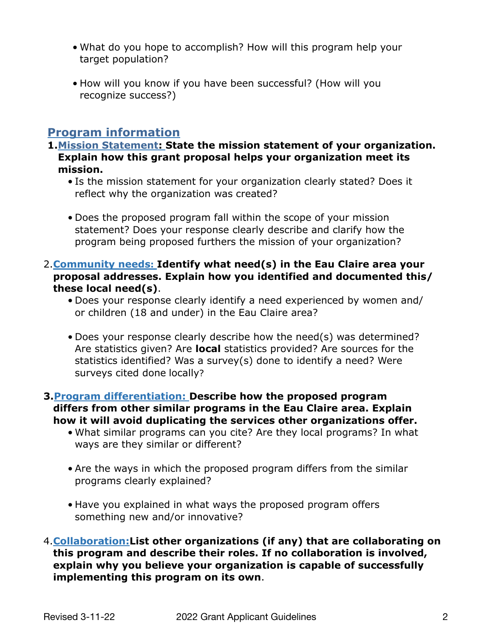- What do you hope to accomplish? How will this program help your target population?
- How will you know if you have been successful? (How will you recognize success?)

## **Program information**

- **1.Mission Statement: State the mission statement of your organization. Explain how this grant proposal helps your organization meet its mission.**
	- Is the mission statement for your organization clearly stated? Does it reflect why the organization was created?
	- Does the proposed program fall within the scope of your mission statement? Does your response clearly describe and clarify how the program being proposed furthers the mission of your organization?
- 2.**Community needs: Identify what need(s) in the Eau Claire area your proposal addresses. Explain how you identified and documented this/ these local need(s)**.
	- Does your response clearly identify a need experienced by women and/ or children (18 and under) in the Eau Claire area?
	- Does your response clearly describe how the need(s) was determined? Are statistics given? Are **local** statistics provided? Are sources for the statistics identified? Was a survey(s) done to identify a need? Were surveys cited done locally?
- **3.Program differentiation: Describe how the proposed program differs from other similar programs in the Eau Claire area. Explain how it will avoid duplicating the services other organizations offer.**
	- What similar programs can you cite? Are they local programs? In what ways are they similar or different?
	- Are the ways in which the proposed program differs from the similar programs clearly explained?
	- Have you explained in what ways the proposed program offers something new and/or innovative?
- 4.**Collaboration:List other organizations (if any) that are collaborating on this program and describe their roles. If no collaboration is involved, explain why you believe your organization is capable of successfully implementing this program on its own**.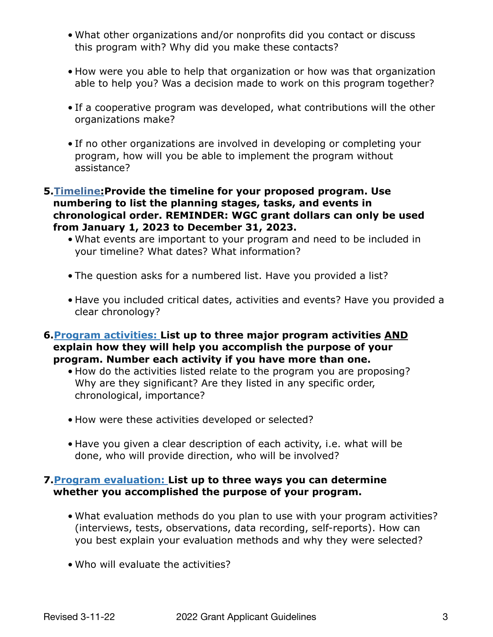- What other organizations and/or nonprofits did you contact or discuss this program with? Why did you make these contacts?
- How were you able to help that organization or how was that organization able to help you? Was a decision made to work on this program together?
- If a cooperative program was developed, what contributions will the other organizations make?
- If no other organizations are involved in developing or completing your program, how will you be able to implement the program without assistance?

#### **5.Timeline:Provide the timeline for your proposed program. Use numbering to list the planning stages, tasks, and events in chronological order. REMINDER: WGC grant dollars can only be used from January 1, 2023 to December 31, 2023.**

- What events are important to your program and need to be included in your timeline? What dates? What information?
- The question asks for a numbered list. Have you provided a list?
- Have you included critical dates, activities and events? Have you provided a clear chronology?
- **6.Program activities: List up to three major program activities AND explain how they will help you accomplish the purpose of your program. Number each activity if you have more than one.**
	- How do the activities listed relate to the program you are proposing? Why are they significant? Are they listed in any specific order, chronological, importance?
	- How were these activities developed or selected?
	- Have you given a clear description of each activity, i.e. what will be done, who will provide direction, who will be involved?

## **7.Program evaluation: List up to three ways you can determine whether you accomplished the purpose of your program.**

- What evaluation methods do you plan to use with your program activities? (interviews, tests, observations, data recording, self-reports). How can you best explain your evaluation methods and why they were selected?
- Who will evaluate the activities?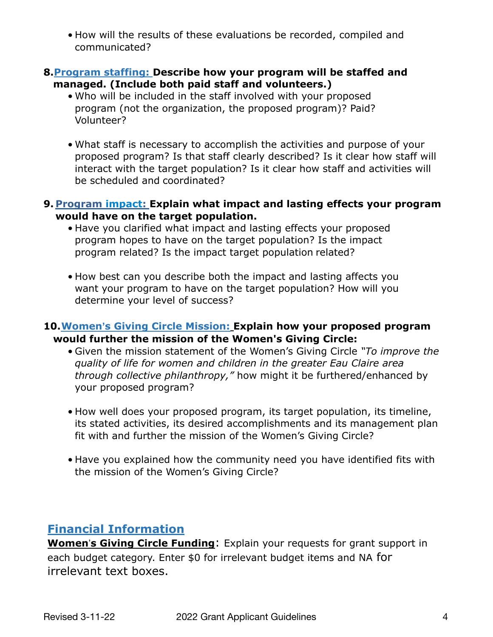• How will the results of these evaluations be recorded, compiled and communicated?

### **8.Program staffing: Describe how your program will be staffed and managed. (Include both paid staff and volunteers.)**

- Who will be included in the staff involved with your proposed program (not the organization, the proposed program)? Paid? Volunteer?
- What staff is necessary to accomplish the activities and purpose of your proposed program? Is that staff clearly described? Is it clear how staff will interact with the target population? Is it clear how staff and activities will be scheduled and coordinated?

### **9. Program impact: Explain what impact and lasting effects your program would have on the target population.**

- Have you clarified what impact and lasting effects your proposed program hopes to have on the target population? Is the impact program related? Is the impact target population related?
- How best can you describe both the impact and lasting affects you want your program to have on the target population? How will you determine your level of success?

## **10.Women's Giving Circle Mission: Explain how your proposed program would further the mission of the Women's Giving Circle:**

- Given the mission statement of the Women's Giving Circle *"To improve the quality of life for women and children in the greater Eau Claire area through collective philanthropy,"* how might it be furthered/enhanced by your proposed program?
- How well does your proposed program, its target population, its timeline, its stated activities, its desired accomplishments and its management plan fit with and further the mission of the Women's Giving Circle?
- Have you explained how the community need you have identified fits with the mission of the Women's Giving Circle?

# **Financial Information**

**Women**'**s Giving Circle Funding**: Explain your requests for grant support in each budget category. Enter \$0 for irrelevant budget items and NA for irrelevant text boxes.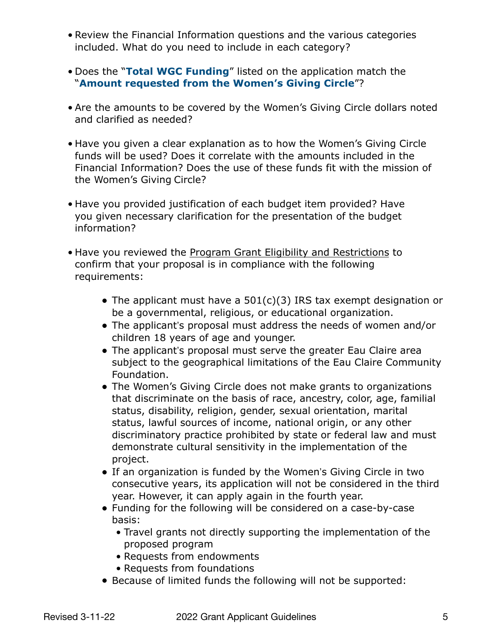- Review the Financial Information questions and the various categories included. What do you need to include in each category?
- Does the "**Total WGC Funding**" listed on the application match the "**Amount requested from the Women's Giving Circle**"?
- Are the amounts to be covered by the Women's Giving Circle dollars noted and clarified as needed?
- Have you given a clear explanation as to how the Women's Giving Circle funds will be used? Does it correlate with the amounts included in the Financial Information? Does the use of these funds fit with the mission of the Women's Giving Circle?
- Have you provided justification of each budget item provided? Have you given necessary clarification for the presentation of the budget information?
- Have you reviewed the Program Grant Eligibility and Restrictions to confirm that your proposal is in compliance with the following requirements:
	- The applicant must have a 501(c)(3) IRS tax exempt designation or be a governmental, religious, or educational organization.
	- The applicant's proposal must address the needs of women and/or children 18 years of age and younger.
	- The applicant's proposal must serve the greater Eau Claire area subject to the geographical limitations of the Eau Claire Community Foundation.
	- The Women's Giving Circle does not make grants to organizations that discriminate on the basis of race, ancestry, color, age, familial status, disability, religion, gender, sexual orientation, marital status, lawful sources of income, national origin, or any other discriminatory practice prohibited by state or federal law and must demonstrate cultural sensitivity in the implementation of the project.
	- If an organization is funded by the Women's Giving Circle in two consecutive years, its application will not be considered in the third year. However, it can apply again in the fourth year.
	- Funding for the following will be considered on a case-by-case basis:
		- Travel grants not directly supporting the implementation of the proposed program
		- Requests from endowments
		- Requests from foundations
	- Because of limited funds the following will not be supported: